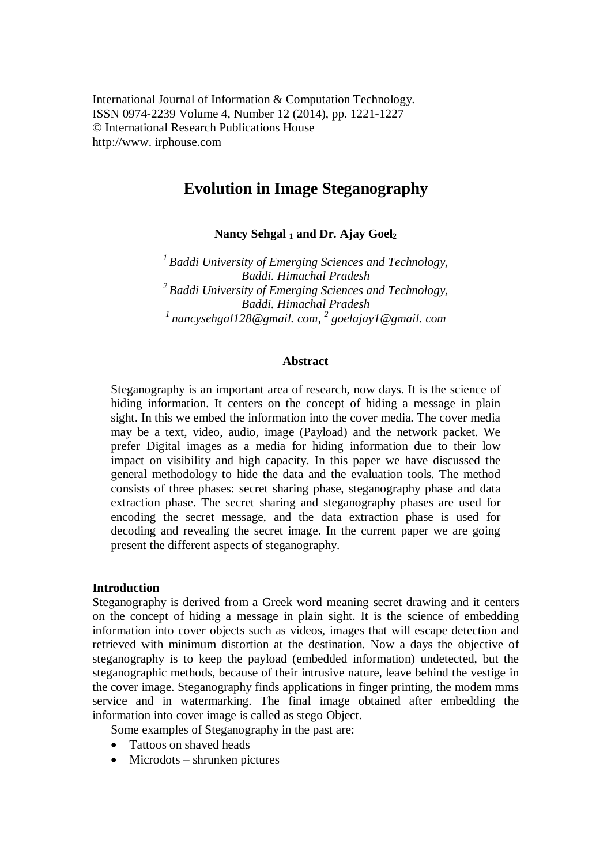# **Evolution in Image Steganography**

**Nancy Sehgal <sup>1</sup> and Dr. Ajay Goel<sup>2</sup>**

*1 Baddi University of Emerging Sciences and Technology, Baddi. Himachal Pradesh 2 Baddi University of Emerging Sciences and Technology, Baddi. Himachal Pradesh <sup>1</sup>nancysehgal128@gmail. com, 2 goelajay1@gmail. com*

#### **Abstract**

Steganography is an important area of research, now days. It is the science of hiding information. It centers on the concept of hiding a message in plain sight. In this we embed the information into the cover media. The cover media may be a text, video, audio, image (Payload) and the network packet. We prefer Digital images as a media for hiding information due to their low impact on visibility and high capacity. In this paper we have discussed the general methodology to hide the data and the evaluation tools. The method consists of three phases: secret sharing phase, steganography phase and data extraction phase. The secret sharing and steganography phases are used for encoding the secret message, and the data extraction phase is used for decoding and revealing the secret image. In the current paper we are going present the different aspects of steganography.

#### **Introduction**

Steganography is derived from a Greek word meaning secret drawing and it centers on the concept of hiding a message in plain sight. It is the science of embedding information into cover objects such as videos, images that will escape detection and retrieved with minimum distortion at the destination. Now a days the objective of steganography is to keep the payload (embedded information) undetected, but the steganographic methods, because of their intrusive nature, leave behind the vestige in the cover image. Steganography finds applications in finger printing, the modem mms service and in watermarking. The final image obtained after embedding the information into cover image is called as stego Object.

Some examples of Steganography in the past are:

- Tattoos on shaved heads
- $\bullet$  Microdots shrunken pictures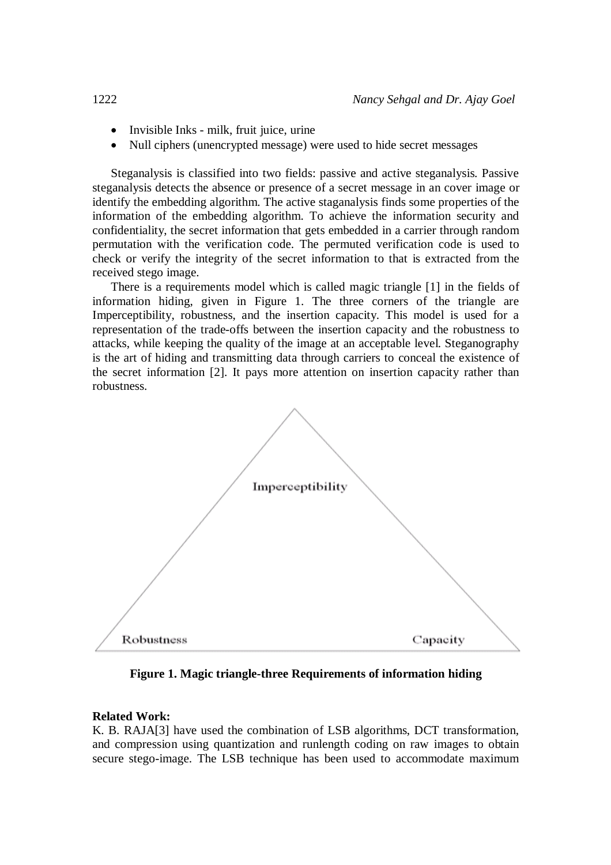- Invisible Inks milk, fruit juice, urine
- Null ciphers (unencrypted message) were used to hide secret messages

Steganalysis is classified into two fields: passive and active steganalysis. Passive steganalysis detects the absence or presence of a secret message in an cover image or identify the embedding algorithm. The active staganalysis finds some properties of the information of the embedding algorithm. To achieve the information security and confidentiality, the secret information that gets embedded in a carrier through random permutation with the verification code. The permuted verification code is used to check or verify the integrity of the secret information to that is extracted from the received stego image.

There is a requirements model which is called magic triangle [1] in the fields of information hiding, given in Figure 1. The three corners of the triangle are Imperceptibility, robustness, and the insertion capacity. This model is used for a representation of the trade-offs between the insertion capacity and the robustness to attacks, while keeping the quality of the image at an acceptable level. Steganography is the art of hiding and transmitting data through carriers to conceal the existence of the secret information [2]. It pays more attention on insertion capacity rather than robustness.



**Figure 1. Magic triangle-three Requirements of information hiding**

### **Related Work:**

K. B. RAJA[3] have used the combination of LSB algorithms, DCT transformation, and compression using quantization and runlength coding on raw images to obtain secure stego-image. The LSB technique has been used to accommodate maximum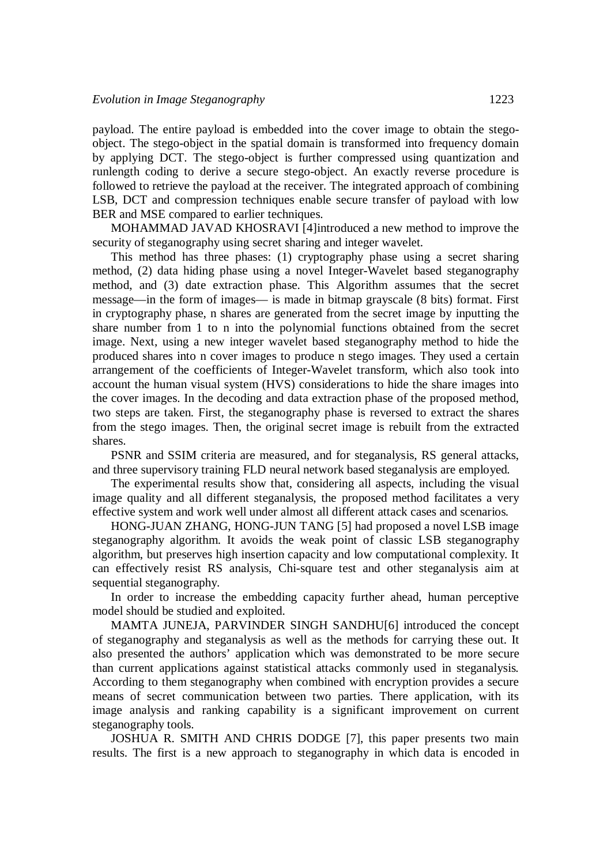payload. The entire payload is embedded into the cover image to obtain the stegoobject. The stego-object in the spatial domain is transformed into frequency domain by applying DCT. The stego-object is further compressed using quantization and runlength coding to derive a secure stego-object. An exactly reverse procedure is followed to retrieve the payload at the receiver. The integrated approach of combining LSB, DCT and compression techniques enable secure transfer of payload with low BER and MSE compared to earlier techniques.

MOHAMMAD JAVAD KHOSRAVI [4]introduced a new method to improve the security of steganography using secret sharing and integer wavelet.

This method has three phases: (1) cryptography phase using a secret sharing method, (2) data hiding phase using a novel Integer-Wavelet based steganography method, and (3) date extraction phase. This Algorithm assumes that the secret message—in the form of images— is made in bitmap grayscale (8 bits) format. First in cryptography phase, n shares are generated from the secret image by inputting the share number from 1 to n into the polynomial functions obtained from the secret image. Next, using a new integer wavelet based steganography method to hide the produced shares into n cover images to produce n stego images. They used a certain arrangement of the coefficients of Integer-Wavelet transform, which also took into account the human visual system (HVS) considerations to hide the share images into the cover images. In the decoding and data extraction phase of the proposed method, two steps are taken. First, the steganography phase is reversed to extract the shares from the stego images. Then, the original secret image is rebuilt from the extracted shares.

PSNR and SSIM criteria are measured, and for steganalysis, RS general attacks, and three supervisory training FLD neural network based steganalysis are employed.

The experimental results show that, considering all aspects, including the visual image quality and all different steganalysis, the proposed method facilitates a very effective system and work well under almost all different attack cases and scenarios.

HONG-JUAN ZHANG, HONG-JUN TANG [5] had proposed a novel LSB image steganography algorithm. It avoids the weak point of classic LSB steganography algorithm, but preserves high insertion capacity and low computational complexity. It can effectively resist RS analysis, Chi-square test and other steganalysis aim at sequential steganography.

In order to increase the embedding capacity further ahead, human perceptive model should be studied and exploited.

MAMTA JUNEJA, PARVINDER SINGH SANDHU[6] introduced the concept of steganography and steganalysis as well as the methods for carrying these out. It also presented the authors' application which was demonstrated to be more secure than current applications against statistical attacks commonly used in steganalysis. According to them steganography when combined with encryption provides a secure means of secret communication between two parties. There application, with its image analysis and ranking capability is a significant improvement on current steganography tools.

JOSHUA R. SMITH AND CHRIS DODGE [7], this paper presents two main results. The first is a new approach to steganography in which data is encoded in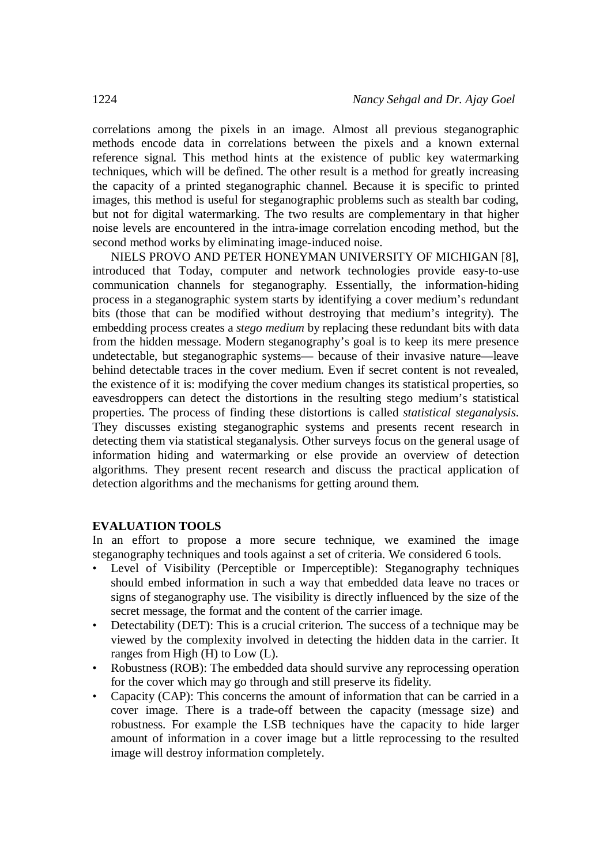correlations among the pixels in an image. Almost all previous steganographic methods encode data in correlations between the pixels and a known external reference signal. This method hints at the existence of public key watermarking techniques, which will be defined. The other result is a method for greatly increasing the capacity of a printed steganographic channel. Because it is specific to printed images, this method is useful for steganographic problems such as stealth bar coding, but not for digital watermarking. The two results are complementary in that higher noise levels are encountered in the intra-image correlation encoding method, but the second method works by eliminating image-induced noise.

NIELS PROVO AND PETER HONEYMAN UNIVERSITY OF MICHIGAN [8], introduced that Today, computer and network technologies provide easy-to-use communication channels for steganography. Essentially, the information-hiding process in a steganographic system starts by identifying a cover medium's redundant bits (those that can be modified without destroying that medium's integrity). The embedding process creates a *stego medium* by replacing these redundant bits with data from the hidden message. Modern steganography's goal is to keep its mere presence undetectable, but steganographic systems— because of their invasive nature—leave behind detectable traces in the cover medium. Even if secret content is not revealed, the existence of it is: modifying the cover medium changes its statistical properties, so eavesdroppers can detect the distortions in the resulting stego medium's statistical properties. The process of finding these distortions is called *statistical steganalysis*. They discusses existing steganographic systems and presents recent research in detecting them via statistical steganalysis. Other surveys focus on the general usage of information hiding and watermarking or else provide an overview of detection algorithms. They present recent research and discuss the practical application of detection algorithms and the mechanisms for getting around them.

#### **EVALUATION TOOLS**

In an effort to propose a more secure technique, we examined the image steganography techniques and tools against a set of criteria. We considered 6 tools.

- Level of Visibility (Perceptible or Imperceptible): Steganography techniques should embed information in such a way that embedded data leave no traces or signs of steganography use. The visibility is directly influenced by the size of the secret message, the format and the content of the carrier image.
- Detectability (DET): This is a crucial criterion. The success of a technique may be viewed by the complexity involved in detecting the hidden data in the carrier. It ranges from High (H) to Low (L).
- Robustness (ROB): The embedded data should survive any reprocessing operation for the cover which may go through and still preserve its fidelity.
- Capacity (CAP): This concerns the amount of information that can be carried in a cover image. There is a trade-off between the capacity (message size) and robustness. For example the LSB techniques have the capacity to hide larger amount of information in a cover image but a little reprocessing to the resulted image will destroy information completely.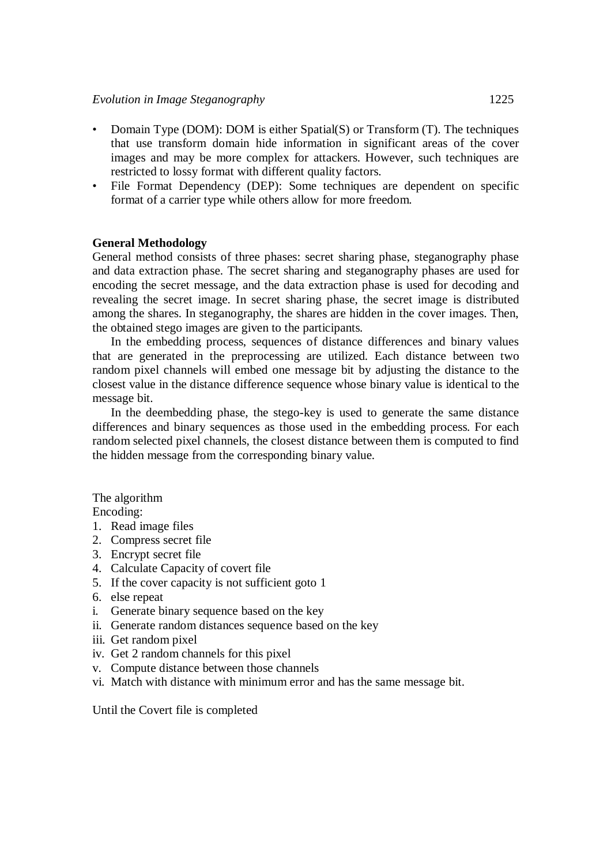- Domain Type (DOM): DOM is either Spatial(S) or Transform (T). The techniques that use transform domain hide information in significant areas of the cover images and may be more complex for attackers. However, such techniques are restricted to lossy format with different quality factors.
- File Format Dependency (DEP): Some techniques are dependent on specific format of a carrier type while others allow for more freedom.

## **General Methodology**

General method consists of three phases: secret sharing phase, steganography phase and data extraction phase. The secret sharing and steganography phases are used for encoding the secret message, and the data extraction phase is used for decoding and revealing the secret image. In secret sharing phase, the secret image is distributed among the shares. In steganography, the shares are hidden in the cover images. Then, the obtained stego images are given to the participants.

In the embedding process, sequences of distance differences and binary values that are generated in the preprocessing are utilized. Each distance between two random pixel channels will embed one message bit by adjusting the distance to the closest value in the distance difference sequence whose binary value is identical to the message bit.

In the deembedding phase, the stego-key is used to generate the same distance differences and binary sequences as those used in the embedding process. For each random selected pixel channels, the closest distance between them is computed to find the hidden message from the corresponding binary value.

The algorithm

Encoding:

- 1. Read image files
- 2. Compress secret file
- 3. Encrypt secret file
- 4. Calculate Capacity of covert file
- 5. If the cover capacity is not sufficient goto 1
- 6. else repeat
- i. Generate binary sequence based on the key
- ii. Generate random distances sequence based on the key
- iii. Get random pixel
- iv. Get 2 random channels for this pixel
- v. Compute distance between those channels
- vi. Match with distance with minimum error and has the same message bit.

Until the Covert file is completed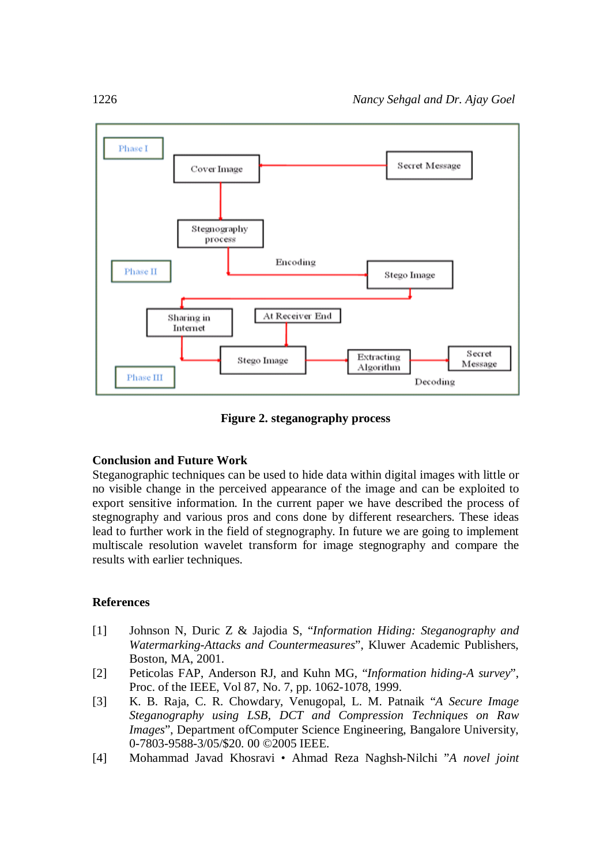

**Figure 2. steganography process**

## **Conclusion and Future Work**

Steganographic techniques can be used to hide data within digital images with little or no visible change in the perceived appearance of the image and can be exploited to export sensitive information. In the current paper we have described the process of stegnography and various pros and cons done by different researchers. These ideas lead to further work in the field of stegnography. In future we are going to implement multiscale resolution wavelet transform for image stegnography and compare the results with earlier techniques.

#### **References**

- [1] Johnson N, Duric Z & Jajodia S, "*Information Hiding: Steganography and Watermarking-Attacks and Countermeasures*", Kluwer Academic Publishers, Boston, MA, 2001.
- [2] Peticolas FAP, Anderson RJ, and Kuhn MG, "*Information hiding-A survey*", Proc. of the IEEE, Vol 87, No. 7, pp. 1062-1078, 1999.
- [3] K. B. Raja, C. R. Chowdary, Venugopal, L. M. Patnaik "*A Secure Image Steganography using LSB, DCT and Compression Techniques on Raw Images*", Department of Computer Science Engineering, Bangalore University, 0-7803-9588-3/05/\$20. 00 ©2005 IEEE.
- [4] Mohammad Javad Khosravi Ahmad Reza Naghsh-Nilchi "*A novel joint*